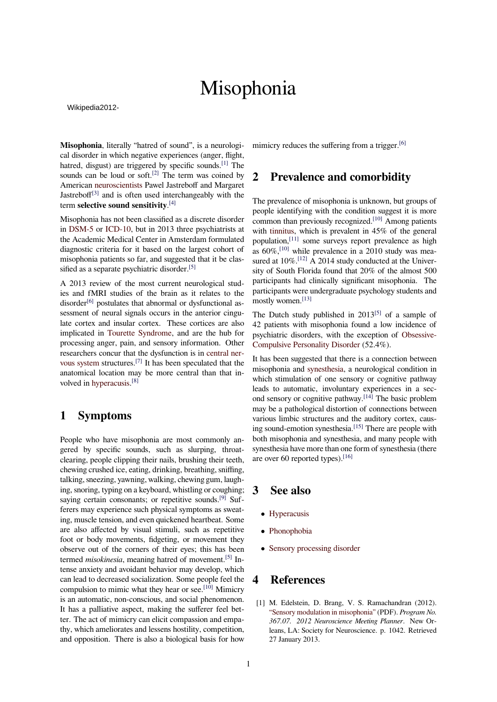# Misophonia

Wikipedia2012-

**Misophonia**, literally "hatred of sound", is a neurological disorder in which negative experiences (anger, flight, hatred, disgust) are triggered by specific sounds.<sup>[\[1\]](#page-0-0)</sup> The sounds can be loud or soft.<sup>[\[2\]](#page-1-0)</sup> The term was coined by American [neuroscientists](https://en.wikipedia.org/wiki/Neuroscientist) Pawel Jastreboff and Margaret Jastreboff<sup>[\[3\]](#page-1-1)</sup> and is often used interchangeably with the term **selective sound sensitivity**. [\[4\]](#page-1-2)

Misophonia has not been classified as a discrete disorder in [DSM-5](https://en.wikipedia.org/wiki/DSM-5) or [ICD-10,](https://en.wikipedia.org/wiki/ICD-10) but in 2013 three psychiatrists at the Academic Medical Center in Amsterdam formulated diagnostic criteria for it based on the largest cohort of misophonia patients so far, and suggested that it be clas-sified as a separate psychiatric disorder.<sup>[\[5\]](#page-1-3)</sup>

A 2013 review of the most current neurological studies and fMRI studies of the brain as it relates to the disorder $[6]$  postulates that abnormal or dysfunctional assessment of neural signals occurs in the anterior cingulate cortex and insular cortex. These cortices are also implicated in [Tourette Syndrome,](https://en.wikipedia.org/wiki/Tourette_Syndrome) and are the hub for processing anger, pain, and sensory information. Other researchers concur that the dysfunction is in [central ner](https://en.wikipedia.org/wiki/Central_nervous_system)[vous system](https://en.wikipedia.org/wiki/Central_nervous_system) structures.[\[7\]](#page-1-5) It has been speculated that the anatomical location may be more central than that involved in [hyperacusis](https://en.wikipedia.org/wiki/Hyperacusis).<sup>[\[8\]](#page-1-6)</sup>

## **1 Symptoms**

People who have misophonia are most commonly angered by specific sounds, such as slurping, throatclearing, people clipping their nails, brushing their teeth, chewing crushed ice, eating, drinking, breathing, sniffing, talking, sneezing, yawning, walking, chewing gum, laughing, snoring, typing on a keyboard, whistling or coughing; saying certain consonants; or repetitive sounds.<sup>[\[9\]](#page-1-7)</sup> Sufferers may experience such physical symptoms as sweating, muscle tension, and even quickened heartbeat. Some are also affected by visual stimuli, such as repetitive foot or body movements, fidgeting, or movement they observe out of the corners of their eyes; this has been termed *misokinesia*, meaning hatred of movement.[\[5\]](#page-1-3) Intense anxiety and avoidant behavior may develop, which can lead to decreased socialization. Some people feel the compulsion to mimic what they hear or see.<sup>[\[10\]](#page-1-8)</sup> Mimicry is an automatic, non-conscious, and social phenomenon. It has a palliative aspect, making the sufferer feel better. The act of mimicry can elicit compassion and empathy, which ameliorates and lessens hostility, competition, and opposition. There is also a biological basis for how

mimicry reduces the suffering from a trigger. $[6]$ 

## **2 Prevalence and comorbidity**

The prevalence of misophonia is unknown, but groups of people identifying with the condition suggest it is more common than previously recognized.[\[10\]](#page-1-8) Among patients with [tinnitus](https://en.wikipedia.org/wiki/Tinnitus), which is prevalent in 45% of the general population,<sup>[\[11\]](#page-1-9)</sup> some surveys report prevalence as high as  $60\%$ ,<sup>[\[10\]](#page-1-8)</sup> while prevalence in a 2010 study was measured at  $10\%$ .<sup>[\[12\]](#page-1-10)</sup> A 2014 study conducted at the University of South Florida found that 20% of the almost 500 participants had clinically significant misophonia. The participants were undergraduate psychology students and mostly women.<sup>[\[13\]](#page-1-11)</sup>

The Dutch study published in  $2013^{5}$  of a sample of 42 patients with misophonia found a low incidence of psychiatric disorders, with the exception of [Obsessive-](https://en.wikipedia.org/wiki/Obsessive-Compulsive_Personality_Disorder)[Compulsive Personality Disorder](https://en.wikipedia.org/wiki/Obsessive-Compulsive_Personality_Disorder) (52.4%).

It has been suggested that there is a connection between misophonia and [synesthesia,](https://en.wikipedia.org/wiki/Synesthesia) a neurological condition in which stimulation of one sensory or cognitive pathway leads to automatic, involuntary experiences in a sec-ond sensory or cognitive pathway.<sup>[\[14\]](#page-1-12)</sup> The basic problem may be a pathological distortion of connections between various limbic structures and the auditory cortex, caus-ing sound-emotion synesthesia.<sup>[\[15\]](#page-1-13)</sup> There are people with both misophonia and synesthesia, and many people with synesthesia have more than one form of synesthesia (there are over 60 reported types).[\[16\]](#page-1-14)

#### **3 See also**

- *•* [Hyperacusis](https://en.wikipedia.org/wiki/Hyperacusis)
- *•* [Phonophobia](https://en.wikipedia.org/wiki/Phonophobia)
- [Sensory processing disorder](https://en.wikipedia.org/wiki/Sensory_processing_disorder)

#### **4 References**

<span id="page-0-0"></span>[1] M. Edelstein, D. Brang, V. S. Ramachandran (2012). ["Sensory modulation in misophonia"](http://www.sfn.org/am2012/pdf/abstracts/MON_Poster_AM.pdf#page=1042) (PDF). *Program No. 367.07. 2012 Neuroscience Meeting Planner*. New Orleans, LA: Society for Neuroscience. p. 1042. Retrieved 27 January 2013.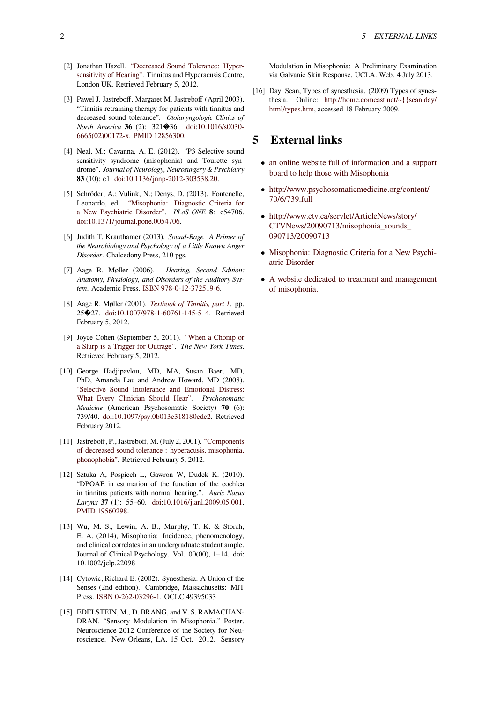- <span id="page-1-0"></span>[2] Jonathan Hazell. ["Decreased Sound Tolerance: Hyper](http://www.tinnitus.org/home/frame/hyp1.htm)[sensitivity of Hearing"](http://www.tinnitus.org/home/frame/hyp1.htm). Tinnitus and Hyperacusis Centre, London UK. Retrieved February 5, 2012.
- <span id="page-1-1"></span>[3] Pawel J. Jastreboff, Margaret M. Jastreboff (April 2003). "Tinnitis retraining therapy for patients with tinnitus and decreased sound tolerance". *Otolaryngologic Clinics of North America* **36** (2): 321�36. [doi](https://en.wikipedia.org/wiki/Digital_object_identifier):[10.1016/s0030-](http://dx.doi.org/10.1016%252Fs0030-6665%252802%252900172-x) [6665\(02\)00172-x.](http://dx.doi.org/10.1016%252Fs0030-6665%252802%252900172-x) [PMID](https://en.wikipedia.org/wiki/PubMed_Identifier) [12856300](https://www.ncbi.nlm.nih.gov/pubmed/12856300).
- <span id="page-1-2"></span>[4] Neal, M.; Cavanna, A. E. (2012). "P3 Selective sound sensitivity syndrome (misophonia) and Tourette syndrome". *Journal of Neurology, Neurosurgery & Psychiatry* **83** (10): e1. [doi](https://en.wikipedia.org/wiki/Digital_object_identifier)[:10.1136/jnnp-2012-303538.20.](http://dx.doi.org/10.1136%252Fjnnp-2012-303538.20)
- <span id="page-1-3"></span>[5] Schröder, A.; Vulink, N.; Denys, D. (2013). Fontenelle, Leonardo, ed. ["Misophonia: Diagnostic Criteria for](http://www.plosone.org/article/info%253Adoi%252F10.1371%252Fjournal.pone.0054706) [a New Psychiatric Disorder"](http://www.plosone.org/article/info%253Adoi%252F10.1371%252Fjournal.pone.0054706). *PLoS ONE* **8**: e54706. [doi](https://en.wikipedia.org/wiki/Digital_object_identifier)[:10.1371/journal.pone.0054706](http://dx.doi.org/10.1371%252Fjournal.pone.0054706).
- <span id="page-1-4"></span>[6] Judith T. Krauthamer (2013). *Sound-Rage. A Primer of the Neurobiology and Psychology of a Little Known Anger Disorder*. Chalcedony Press, 210 pgs.
- <span id="page-1-5"></span>[7] Aage R. Møller (2006). *Hearing, Second Edition: Anatomy, Physiology, and Disorders of the Auditory System*. Academic Press. [ISBN](https://en.wikipedia.org/wiki/International_Standard_Book_Number) [978-0-12-372519-6](https://en.wikipedia.org/wiki/Special:BookSources/978-0-12-372519-6).
- <span id="page-1-6"></span>[8] Aage R. Møller (2001). *[Textbook of Tinnitis, part 1](http://www.springerlink.com/content/gl87436l77336151/)*. pp. 25�27. [doi](https://en.wikipedia.org/wiki/Digital_object_identifier):[10.1007/978-1-60761-145-5\\_4](http://dx.doi.org/10.1007%252F978-1-60761-145-5_4). Retrieved February 5, 2012.
- <span id="page-1-7"></span>[9] Joyce Cohen (September 5, 2011). ["When a Chomp or](http://www.nytimes.com/2011/09/06/health/06annoy.html?_r=3) [a Slurp is a Trigger for Outrage"](http://www.nytimes.com/2011/09/06/health/06annoy.html?_r=3). *The New York Times*. Retrieved February 5, 2012.
- <span id="page-1-8"></span>[10] George Hadjipavlou, MD, MA, Susan Baer, MD, PhD, Amanda Lau and Andrew Howard, MD (2008). ["Selective Sound Intolerance and Emotional Distress:](http://www.psychosomaticmedicine.org/content/70/6/739.short) [What Every Clinician Should Hear".](http://www.psychosomaticmedicine.org/content/70/6/739.short) *Psychosomatic Medicine* (American Psychosomatic Society) **70** (6): 739/40. [doi](https://en.wikipedia.org/wiki/Digital_object_identifier):[10.1097/psy.0b013e318180edc2.](http://dx.doi.org/10.1097%252Fpsy.0b013e318180edc2) Retrieved February 2012.
- <span id="page-1-9"></span>[11] Jastreboff, P., Jastreboff, M. (July 2, 2001). ["Components](http://www.tinnitus.org/home/frame/DST_NL2_PJMJ.pdf) [of decreased sound tolerance : hyperacusis, misophonia,](http://www.tinnitus.org/home/frame/DST_NL2_PJMJ.pdf) [phonophobia".](http://www.tinnitus.org/home/frame/DST_NL2_PJMJ.pdf) Retrieved February 5, 2012.
- <span id="page-1-10"></span>[12] Sztuka A, Pospiech L, Gawron W, Dudek K. (2010). "DPOAE in estimation of the function of the cochlea in tinnitus patients with normal hearing.". *Auris Nasus Larynx* **37** (1): 55–60. [doi](https://en.wikipedia.org/wiki/Digital_object_identifier):[10.1016/j.anl.2009.05.001](http://dx.doi.org/10.1016%252Fj.anl.2009.05.001). [PMID](https://en.wikipedia.org/wiki/PubMed_Identifier) [19560298](https://www.ncbi.nlm.nih.gov/pubmed/19560298).
- <span id="page-1-11"></span>[13] Wu, M. S., Lewin, A. B., Murphy, T. K. & Storch, E. A. (2014), Misophonia: Incidence, phenomenology, and clinical correlates in an undergraduate student ample. Journal of Clinical Psychology. Vol. 00(00), 1–14. doi: 10.1002/jclp.22098
- <span id="page-1-12"></span>[14] Cytowic, Richard E. (2002). Synesthesia: A Union of the Senses (2nd edition). Cambridge, Massachusetts: MIT Press. [ISBN 0-262-03296-1.](https://en.wikipedia.org/wiki/Special:BookSources/0262032961) OCLC 49395033
- <span id="page-1-13"></span>[15] EDELSTEIN, M., D. BRANG, and V. S. RAMACHAN-DRAN. "Sensory Modulation in Misophonia." Poster. Neuroscience 2012 Conference of the Society for Neuroscience. New Orleans, LA. 15 Oct. 2012. Sensory

Modulation in Misophonia: A Preliminary Examination via Galvanic Skin Response. UCLA. Web. 4 July 2013.

<span id="page-1-14"></span>[16] Day, Sean, Types of synesthesia. (2009) Types of synesthesia. Online: [http://home.comcast.net/~{}sean.day/](http://home.comcast.net/~sean.day/html/types.htm) [html/types.htm](http://home.comcast.net/~sean.day/html/types.htm), accessed 18 February 2009.

#### **5 External links**

- *•* [an online website full of information and a support](http://www.misophonia.com/) [board to help those with Misophonia](http://www.misophonia.com/)
- [http://www.psychosomaticmedicine.org/content/](http://www.psychosomaticmedicine.org/content/70/6/739.full) [70/6/739.full](http://www.psychosomaticmedicine.org/content/70/6/739.full)
- *•* [http://www.ctv.ca/servlet/ArticleNews/story/](http://www.ctv.ca/servlet/ArticleNews/story/CTVNews/20090713/misophonia_sounds_090713/20090713) [CTVNews/20090713/misophonia\\_sounds\\_](http://www.ctv.ca/servlet/ArticleNews/story/CTVNews/20090713/misophonia_sounds_090713/20090713) [090713/20090713](http://www.ctv.ca/servlet/ArticleNews/story/CTVNews/20090713/misophonia_sounds_090713/20090713)
- *•* [Misophonia: Diagnostic Criteria for a New Psychi](http://www.plosone.org/article/info%253Adoi%252F10.1371%252Fjournal.pone.0054706)[atric Disorder](http://www.plosone.org/article/info%253Adoi%252F10.1371%252Fjournal.pone.0054706)
- *•* [A website dedicated to treatment and management](http://www.misophoniatreatment.com/) [of misophonia.](http://www.misophoniatreatment.com/)